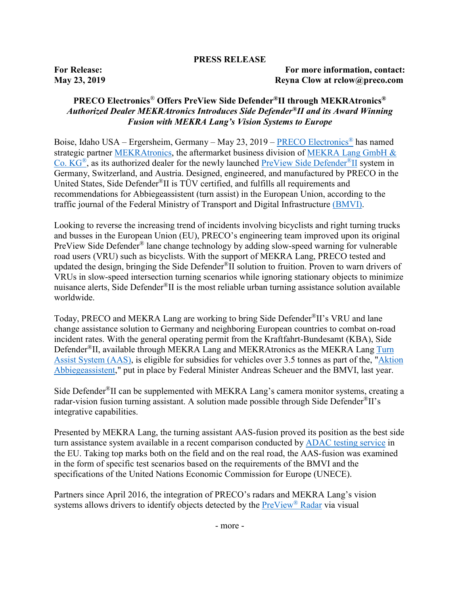## **PRESS RELEASE**

**For Release: For more information, contact: May 23, 2019 Reyna Clow at rclow@preco.com**

## **PRECO Electronics**® **Offers PreView Side Defender®II through MEKRAtronics®** *Authorized Dealer MEKRAtronics Introduces Side Defender®II and its Award Winning Fusion with MEKRA Lang's Vision Systems to Europe*

Boise, Idaho USA – Ergersheim, Germany – May 23, 2019 – [PRECO Electronics](https://preco.com/)® has named strategic partner [MEKRAtronics,](https://www.mekratronics.de/en/home/) the aftermarket business division of [MEKRA Lang GmbH &](https://www.mekra.de/)  [Co. KG®,](https://www.mekra.de/) as its authorized dealer for the newly launched [PreView Side Defender](https://preco.com/side_defender/)®II system in Germany, Switzerland, and Austria. Designed, engineered, and manufactured by PRECO in the United States, Side Defender®II is TÜV certified, and fulfills all requirements and recommendations for Abbiegeassistent (turn assist) in the European Union, according to the traffic journal of the Federal Ministry of Transport and Digital Infrastructure [\(BMVI\).](https://www.bmvi.de/EN/Home/home.html)

Looking to reverse the increasing trend of incidents involving bicyclists and right turning trucks and busses in the European Union (EU), PRECO's engineering team improved upon its original PreView Side Defender® lane change technology by adding slow-speed warning for vulnerable road users (VRU) such as bicyclists. With the support of MEKRA Lang, PRECO tested and updated the design, bringing the Side Defender®II solution to fruition. Proven to warn drivers of VRUs in slow-speed intersection turning scenarios while ignoring stationary objects to minimize nuisance alerts, Side Defender<sup>®</sup>II is the most reliable urban turning assistance solution available worldwide.

Today, PRECO and MEKRA Lang are working to bring Side Defender®II's VRU and lane change assistance solution to Germany and neighboring European countries to combat on-road incident rates. With the general operating permit from the Kraftfahrt-Bundesamt (KBA), Side Defender<sup>®</sup>II, available through MEKRA Lang and MEKRAtronics as the MEKRA Lang Turn [Assist System](https://www.mekratronics.de/en/products/turn-assist-system-aas/) (AAS), is eligible for subsidies for vehicles over 3.5 tonnes as part of the, ["Aktion](https://www.bmvi.de/SharedDocs/EN/PressRelease/2018/046-scheuer-launches-turning-assistant-campaign.html?nn=187598)  [Abbiegeassistent,](https://www.bmvi.de/SharedDocs/EN/PressRelease/2018/046-scheuer-launches-turning-assistant-campaign.html?nn=187598)" put in place by Federal Minister Andreas Scheuer and the BMVI, last year.

Side Defender®II can be supplemented with MEKRA Lang's camera monitor systems, creating a radar-vision fusion turning assistant. A solution made possible through Side Defender<sup>®</sup>II's integrative capabilities.

Presented by MEKRA Lang, the turning assistant AAS-fusion proved its position as the best side turn assistance system available in a recent comparison conducted by [ADAC testing service](https://translate.google.com/translate?hl=en&sl=auto&tl=en&u=https%3A%2F%2Fwww.adac.de%2Frund-ums-fahrzeug%2Ftests%2Fassistenzsysteme%2Flkw-abbiegeassistent%2F%3FredirectId%3Dquer.dcs.lkw-abbiegeassistenten) in the EU. Taking top marks both on the field and on the real road, the AAS-fusion was examined in the form of specific test scenarios based on the requirements of the BMVI and the specifications of the United Nations Economic Commission for Europe (UNECE).

Partners since April 2016, the integration of PRECO's radars and MEKRA Lang's vision systems allows drivers to identify objects detected by the [PreView](https://preco.com/preview-radar-blind-spot-monitoring/)® Radar via visual